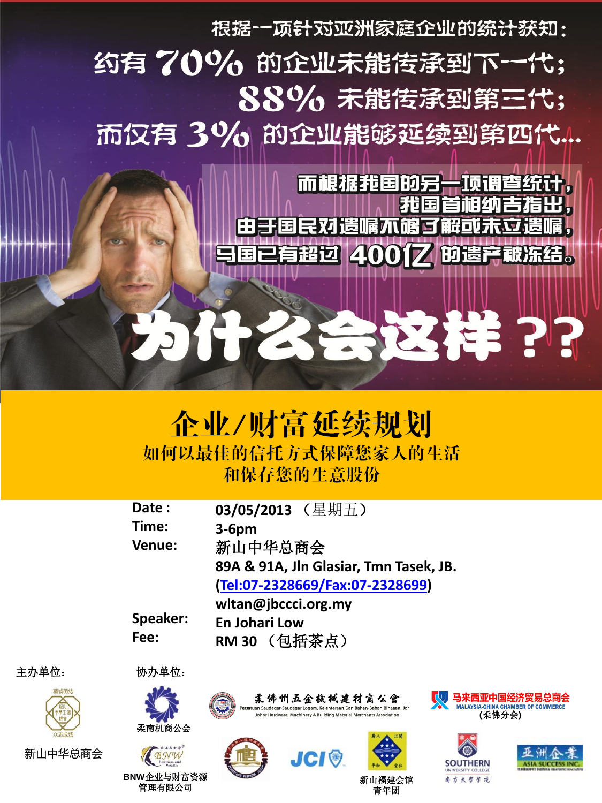根据一项针对亚洲家庭企业的统计获知:

## 约有70% 的企业未能传承到下一代; 88% 未能传承到第三代; 而仅有 3% 的企业能够延续到第四代...

而根据我国的另一项调查统计, 我国首相纳吉指出 由于国民对遗嘱不够了 韶可未立

有超过 400亿 的遗产藏冻结。

为什么会这样??

## 企业/财富延续规划 如何以最佳的信托方式保障您家人的生活 和保存您的生意股份

| Date:         | 03/05/2013 (星期五)                       |
|---------------|----------------------------------------|
| Time:         | $3-6pm$                                |
| <b>Venue:</b> | 新山中华总商会                                |
|               | 89A & 91A, Jln Glasiar, Tmn Tasek, JB. |
|               | [Tel:07-2328669/Fax:07-2328699]        |
|               | wltan@jbccci.org.my                    |
| Speaker:      | <b>En Johari Low</b>                   |
| Fee:          | RM 30 (包括茶点)                           |

主办单位:



新山中华总商会



柔南机商公会

管理有限公司

协办单位:







**SOUTHERN** 南方大学学院



柔佛州五金擞械建材商公會

atuan Saudagar-Saudagar Logam, Keienteraan Dan Bahan-Bahan Binaaan, Joh ardware, Machinery & Building Material Merchants Association

青年团

新山福建会馆